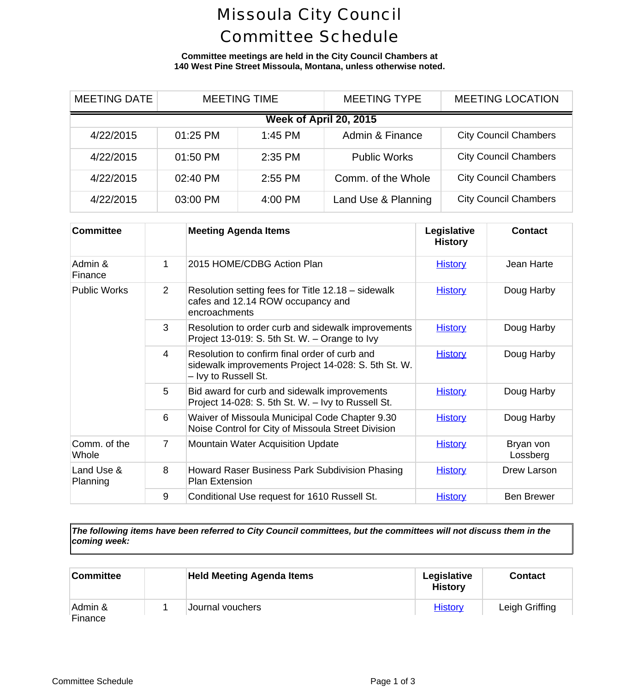## Missoula City Council Committee Schedule

**Committee meetings are held in the City Council Chambers at 140 West Pine Street Missoula, Montana, unless otherwise noted.**

| <b>MEETING DATE</b>    | <b>MEETING TIME</b> |         | <b>MEETING TYPE</b> | <b>MEETING LOCA</b>      |  |  |
|------------------------|---------------------|---------|---------------------|--------------------------|--|--|
| Week of April 20, 2015 |                     |         |                     |                          |  |  |
| 4/22/2015              | 01:25 PM            | 1:45 PM | Admin & Finance     | <b>City Council Cham</b> |  |  |
| 4/22/2015              | 01:50 PM            | 2:35 PM | <b>Public Works</b> | <b>City Council Cham</b> |  |  |
| 4/22/2015              | 02:40 PM            | 2:55 PM | Comm. of the Whole  | <b>City Council Cham</b> |  |  |
| 4/22/2015              | 03:00 PM            | 4:00 PM | Land Use & Planning | <b>City Council Cham</b> |  |  |

| <b>Committee</b>       |   | <b>Meeting Agenda Items</b>                                                                                                  | Legislative<br><b>History</b> | Cont                  |
|------------------------|---|------------------------------------------------------------------------------------------------------------------------------|-------------------------------|-----------------------|
| Admin &<br>Finance     | 1 | 2015 HOME/CDBG Action Plan                                                                                                   | <b>History</b>                | Jean H                |
| <b>Public Works</b>    | 2 | Resolution setting fees for Title 12.18 - sidewalk<br>cafes and 12.14 ROW occupancy and<br>encroachments                     | <b>History</b>                | Doug H                |
|                        | 3 | Resolution to order curb and sidewalk improvements<br>Project 13-019: S. 5th St. W. - Orange to Ivy                          | <b>History</b>                | Doug H                |
|                        | 4 | Resolution to confirm final order of curb and<br>sidewalk improvements Project 14-028: S. 5th St. W.<br>- Ivy to Russell St. | <b>History</b>                | Doug H                |
|                        | 5 | Bid award for curb and sidewalk improvements<br>Project 14-028: S. 5th St. W. - Ivy to Russell St.                           | <b>History</b>                | Doug H                |
|                        | 6 | Waiver of Missoula Municipal Code Chapter 9.30<br>Noise Control for City of Missoula Street Division                         | <b>History</b>                | Doug H                |
| Comm. of the<br>Whole  | 7 | <b>Mountain Water Acquisition Update</b>                                                                                     | <b>History</b>                | <b>Bryan</b><br>Lossb |
| Land Use &<br>Planning | 8 | Howard Raser Business Park Subdivision Phasing<br><b>Plan Extension</b>                                                      | <b>History</b>                | Drew La               |
|                        | 9 | Conditional Use request for 1610 Russell St.                                                                                 | <b>History</b>                | Ben Bri               |

*The following items have been referred to City Council committees, but the committees will not discuss them in the coming week:*

| <b>Committee</b>   | <b>Held Meeting Agenda Items</b> | Legislative<br><b>History</b> | Conta    |
|--------------------|----------------------------------|-------------------------------|----------|
| Admin &<br>Finance | Journal vouchers                 | <b>History</b>                | ∟eigh Gr |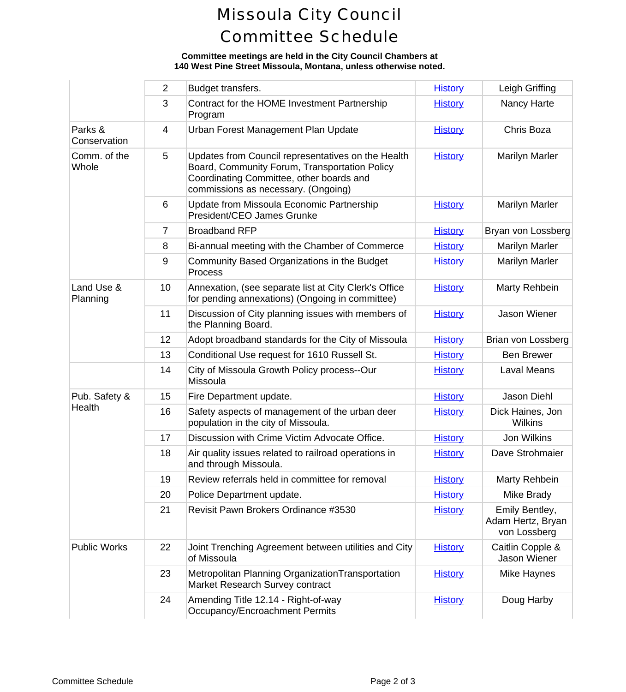## Missoula City Council Committee Schedule

## **Committee meetings are held in the City Council Chambers at 140 West Pine Street Missoula, Montana, unless otherwise noted.**

|                         | $\overline{2}$ | Budget transfers.                                                                                                                                                                      | <b>History</b> | Leigh Gr                                          |
|-------------------------|----------------|----------------------------------------------------------------------------------------------------------------------------------------------------------------------------------------|----------------|---------------------------------------------------|
|                         | 3              | Contract for the HOME Investment Partnership<br>Program                                                                                                                                | <b>History</b> | Nancy H                                           |
| Parks &<br>Conservation | 4              | Urban Forest Management Plan Update                                                                                                                                                    | <b>History</b> | Chris B                                           |
| Comm. of the<br>Whole   | 5              | Updates from Council representatives on the Health<br>Board, Community Forum, Transportation Policy<br>Coordinating Committee, other boards and<br>commissions as necessary. (Ongoing) | <b>History</b> | Marilyn N                                         |
|                         | 6              | Update from Missoula Economic Partnership<br>President/CEO James Grunke                                                                                                                | <b>History</b> | Marilyn N                                         |
|                         | $\overline{7}$ | <b>Broadband RFP</b>                                                                                                                                                                   | <b>History</b> | Bryan von L                                       |
|                         | 8              | Bi-annual meeting with the Chamber of Commerce                                                                                                                                         | <b>History</b> | Marilyn N                                         |
|                         | 9              | Community Based Organizations in the Budget<br>Process                                                                                                                                 | <b>History</b> | Marilyn N                                         |
| Land Use &<br>Planning  | 10             | Annexation, (see separate list at City Clerk's Office<br>for pending annexations) (Ongoing in committee)                                                                               | <b>History</b> | Marty Re                                          |
|                         | 11             | Discussion of City planning issues with members of<br>the Planning Board.                                                                                                              | <b>History</b> | Jason W                                           |
|                         | 12             | Adopt broadband standards for the City of Missoula                                                                                                                                     | <b>History</b> | Brian von L                                       |
|                         | 13             | Conditional Use request for 1610 Russell St.                                                                                                                                           | <b>History</b> | <b>Ben Bre</b>                                    |
|                         | 14             | City of Missoula Growth Policy process--Our<br>Missoula                                                                                                                                | <b>History</b> | Laval M                                           |
| Pub. Safety &           | 15             | Fire Department update.                                                                                                                                                                | <b>History</b> | Jason D                                           |
| Health                  | 16             | Safety aspects of management of the urban deer<br>population in the city of Missoula.                                                                                                  | <b>History</b> | <b>Dick Haine</b><br>Wilkir                       |
|                         | 17             | Discussion with Crime Victim Advocate Office.                                                                                                                                          | <b>History</b> | Jon Wil                                           |
|                         | 18             | Air quality issues related to railroad operations in<br>and through Missoula.                                                                                                          | <b>History</b> | Dave Stro                                         |
|                         | 19             | Review referrals held in committee for removal                                                                                                                                         | <b>History</b> | Marty Re                                          |
|                         | 20             | Police Department update.                                                                                                                                                              | <b>History</b> | Mike Br                                           |
|                         | 21             | Revisit Pawn Brokers Ordinance #3530                                                                                                                                                   | <b>History</b> | <b>Emily Bel</b><br><b>Adam Hertz</b><br>von Loss |
| <b>Public Works</b>     | 22             | Joint Trenching Agreement between utilities and City<br>of Missoula                                                                                                                    | <b>History</b> | Caitlin Co<br>Jason W                             |
|                         | 23             | Metropolitan Planning Organization Transportation<br>Market Research Survey contract                                                                                                   | <b>History</b> | Mike Ha                                           |
|                         | 24             | Amending Title 12.14 - Right-of-way<br>Occupancy/Encroachment Permits                                                                                                                  | <b>History</b> | Doug H                                            |